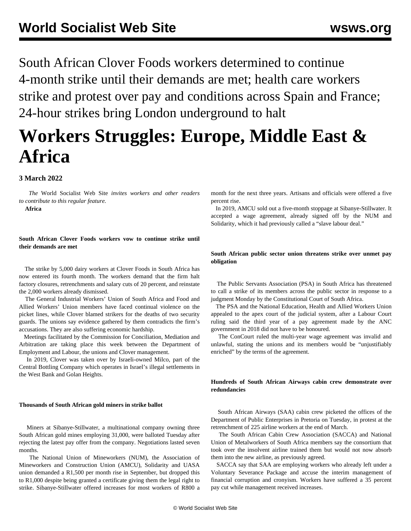South African Clover Foods workers determined to continue 4-month strike until their demands are met; health care workers strike and protest over pay and conditions across Spain and France; 24-hour strikes bring London underground to halt

# **Workers Struggles: Europe, Middle East & Africa**

# **3 March 2022**

 *The* World Socialist Web Site *invites workers and other readers to [contribute](/wsws/dd-formmailer/dd-formmailer.php) to this regular feature.*

**Africa**

# **South African Clover Foods workers vow to continue strike until their demands are met**

 The strike by 5,000 dairy workers at Clover Foods in South Africa has now entered its fourth month. The workers demand that the firm halt factory closures, retrenchments and salary cuts of 20 percent, and reinstate the 2,000 workers already dismissed.

 The General Industrial Workers' Union of South Africa and Food and Allied Workers' Union members have faced continual violence on the picket lines, while Clover blamed strikers for the deaths of two security guards. The unions say evidence gathered by them contradicts the firm's accusations. They are also suffering economic hardship.

 Meetings facilitated by the Commission for Conciliation, Mediation and Arbitration are taking place this week between the Department of Employment and Labour, the unions and Clover management.

 In 2019, Clover was taken over by Israeli-owned Milco, part of the Central Bottling Company which operates in Israel's illegal settlements in the West Bank and Golan Heights.

#### **Thousands of South African gold miners in strike ballot**

 Miners at Sibanye-Stillwater, a multinational company owning three South African gold mines employing 31,000, were balloted Tuesday after rejecting the latest pay offer from the company. Negotiations lasted seven months.

 The National Union of Mineworkers (NUM), the Association of Mineworkers and Construction Union (AMCU), Solidarity and UASA union demanded a R1,500 per month rise in September, but dropped this to R1,000 despite being granted a certificate giving them the legal right to strike. Sibanye-Stillwater offered increases for most workers of R800 a month for the next three years. Artisans and officials were offered a five percent rise.

 In 2019, AMCU sold out a five-month stoppage at Sibanye-Stillwater. It accepted a wage agreement, already signed off by the NUM and Solidarity, which it had previously called a "slave labour deal."

# **South African public sector union threatens strike over unmet pay obligation**

 The Public Servants Association (PSA) in South Africa has threatened to call a strike of its members across the public sector in response to a judgment Monday by the Constitutional Court of South Africa.

 The PSA and the National Education, Health and Allied Workers Union appealed to the apex court of the judicial system, after a Labour Court ruling said the third year of a pay agreement made by the ANC government in 2018 did not have to be honoured.

 The ConCourt ruled the multi-year wage agreement was invalid and unlawful, stating the unions and its members would be "unjustifiably enriched" by the terms of the agreement.

# **Hundreds of South African Airways cabin crew demonstrate over redundancies**

 South African Airways (SAA) cabin crew picketed the offices of the Department of Public Enterprises in Pretoria on Tuesday, in protest at the retrenchment of 225 airline workers at the end of March.

 The South African Cabin Crew Association (SACCA) and National Union of Metalworkers of South Africa members say the consortium that took over the insolvent airline trained them but would not now absorb them into the new airline, as previously agreed.

 SACCA say that SAA are employing workers who already left under a Voluntary Severance Package and accuse the interim management of financial corruption and cronyism. Workers have suffered a 35 percent pay cut while management received increases.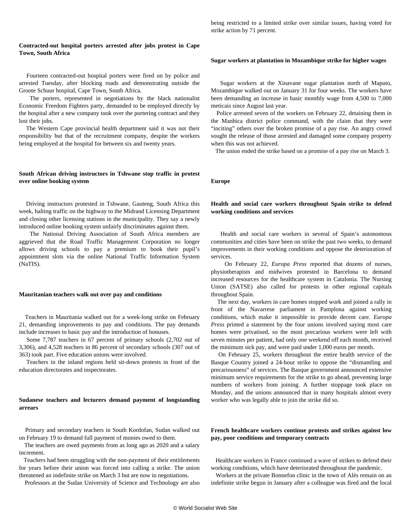being restricted to a limited strike over similar issues, having voted for strike action by 71 percent.

#### **Contracted-out hospital porters arrested after jobs protest in Cape Town, South Africa**

 Fourteen contracted-out hospital porters were fired on by police and arrested Tuesday, after blocking roads and demonstrating outside the Groote Schuur hospital, Cape Town, South Africa.

 The porters, represented in negotiations by the black nationalist Economic Freedom Fighters party, demanded to be employed directly by the hospital after a new company took over the portering contract and they lost their jobs.

 The Western Cape provincial health department said it was not their responsibility but that of the recruitment company, despite the workers being employed at the hospital for between six and twenty years.

### **South African driving instructors in Tshwane stop traffic in protest over online booking system**

 Driving instructors protested in Tshwane, Gauteng, South Africa this week, halting traffic on the highway to the Midrand Licensing Department and closing other licensing stations in the municipality. They say a newly introduced online booking system unfairly discriminates against them.

 The National Driving Association of South Africa members are aggrieved that the Road Traffic Management Corporation no longer allows driving schools to pay a premium to book their pupil's appointment slots via the online National Traffic Information System (NaTIS).

#### **Mauritanian teachers walk out over pay and conditions**

 Teachers in Mauritania walked out for a week-long strike on February 21, demanding improvements to pay and conditions. The pay demands include increases to basic pay and the introduction of bonuses.

 Some 7,787 teachers in 67 percent of primary schools (2,702 out of 3,306), and 4,528 teachers in 86 percent of secondary schools (307 out of 363) took part. Five education unions were involved.

 Teachers in the inland regions held sit-down protests in front of the education directorates and inspectorates.

#### **Sudanese teachers and lecturers demand payment of longstanding arrears**

 Primary and secondary teachers in South Kordofan, Sudan walked out on February 19 to demand full payment of monies owed to them.

 The teachers are owed payments from as long ago as 2020 and a salary increment.

 Teachers had been struggling with the non-payment of their entitlements for years before their union was forced into calling a strike. The union threatened an indefinite strike on March 3 but are now in negotiations.

Professors at the Sudan University of Science and Technology are also

#### **Sugar workers at plantation in Mozambique strike for higher wages**

 Sugar workers at the Xinavane sugar plantation north of Maputo, Mozambique walked out on January 31 for four weeks. The workers have been demanding an increase in basic monthly wage from 4,500 to 7,000 meticais since August last year.

 Police arrested seven of the workers on February 22, detaining them in the Manhica district police command, with the claim that they were "inciting" others over the broken promise of a pay rise. An angry crowd sought the release of those arrested and damaged some company property when this was not achieved.

The union ended the strike based on a promise of a pay rise on March 3.

#### **Europe**

# **Health and social care workers throughout Spain strike to defend working conditions and services**

 Health and social care workers in several of Spain's autonomous communities and cities have been on strike the past two weeks, to demand improvements in their working conditions and oppose the deterioration of services.

 On February 22, *Europa Press* reported that dozens of nurses, physiotherapists and midwives protested in Barcelona to demand increased resources for the healthcare system in Catalonia. The Nursing Union (SATSE) also called for protests in other regional capitals throughout Spain.

 The next day, workers in care homes stopped work and joined a rally in front of the Navarrese parliament in Pamplona against working conditions, which make it impossible to provide decent care. *Europa Press* printed a statement by the four unions involved saying most care homes were privatised, so the most precarious workers were left with seven minutes per patient, had only one weekend off each month, received the minimum sick pay, and were paid under 1,000 euros per month.

 On February 25, workers throughout the entire health service of the Basque Country joined a 24-hour strike to oppose the "dismantling and precariousness" of services. The Basque government announced extensive minimum service requirements for the strike to go ahead, preventing large numbers of workers from joining. A further stoppage took place on Monday, and the unions announced that in many hospitals almost every worker who was legally able to join the strike did so.

# **French healthcare workers continue protests and strikes against low pay, poor conditions and temporary contracts**

 Healthcare workers in France continued a wave of strikes to defend their working conditions, which have deteriorated throughout the pandemic.

 Workers at the private Bonnefon clinic in the town of Alès remain on an indefinite strike begun in January after a colleague was fired and the local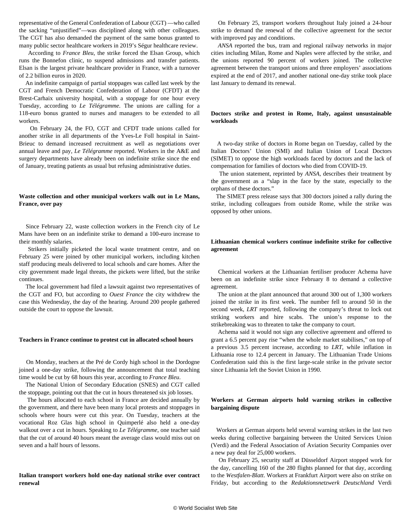representative of the General Confederation of Labour (CGT) —who called the sacking "unjustified"—was disciplined along with other colleagues. The CGT has also demanded the payment of the same bonus granted to many public sector healthcare workers in 2019's Ségur healthcare review.

 According to *France Bleu*, the strike forced the Elsan Group, which runs the Bonnefon clinic, to suspend admissions and transfer patients. Elsan is the largest private healthcare provider in France, with a turnover of 2.2 billion euros in 2020.

 An indefinite campaign of partial stoppages was called last week by the CGT and French Democratic Confederation of Labour (CFDT) at the Brest-Carhaix university hospital, with a stoppage for one hour every Tuesday, according to *Le Télégramme*. The unions are calling for a 118-euro bonus granted to nurses and managers to be extended to all workers.

 On February 24, the FO, CGT and CFDT trade unions called for another strike in all departments of the Yves-Le Foll hospital in Saint-Brieuc to demand increased recruitment as well as negotiations over annual leave and pay, *Le Télégramme* reported. Workers in the A&E and surgery departments have already been on indefinite strike since the end of January, treating patients as usual but refusing administrative duties.

# **Waste collection and other municipal workers walk out in Le Mans, France, over pay**

 Since February 22, waste collection workers in the French city of Le Mans have been on an indefinite strike to demand a 100-euro increase to their monthly salaries.

 Strikers initially picketed the local waste treatment centre, and on February 25 were joined by other municipal workers, including kitchen staff producing meals delivered to local schools and care homes. After the city government made legal threats, the pickets were lifted, but the strike continues.

 The local government had filed a lawsuit against two representatives of the CGT and FO, but according to *Ouest France* the city withdrew the case this Wednesday, the day of the hearing. Around 200 people gathered outside the court to oppose the lawsuit.

#### **Teachers in France continue to protest cut in allocated school hours**

 On Monday, teachers at the Pré de Cordy high school in the Dordogne joined a one-day strike, following the announcement that total teaching time would be cut by 68 hours this year, according to *France Bleu*.

 The National Union of Secondary Education (SNES) and CGT called the stoppage, pointing out that the cut in hours threatened six job losses.

 The hours allocated to each school in France are decided annually by the government, and there have been many local protests and stoppages in schools where hours were cut this year. On Tuesday, teachers at the vocational Roz Glas high school in Quimperlé also held a one-day walkout over a cut in hours. Speaking to *Le Télégramme*, one teacher said that the cut of around 40 hours meant the average class would miss out on seven and a half hours of lessons.

#### **Italian transport workers hold one-day national strike over contract renewal**

 On February 25, transport workers throughout Italy joined a 24-hour strike to demand the renewal of the collective agreement for the sector with improved pay and conditions.

 *ANSA* reported the bus, tram and regional railway networks in major cities including Milan, Rome and Naples were affected by the strike, and the unions reported 90 percent of workers joined. The collective agreement between the transport unions and three employers' associations expired at the end of 2017, and another national one-day strike took place last January to demand its renewal.

#### **Doctors strike and protest in Rome, Italy, against unsustainable workloads**

 A two-day strike of doctors in Rome began on Tuesday, called by the Italian Doctors' Union (SMI) and Italian Union of Local Doctors (SIMET) to oppose the high workloads faced by doctors and the lack of compensation for families of doctors who died from COVID-19.

 The union statement, reprinted by *ANSA,* describes their treatment by the government as a "slap in the face by the state, especially to the orphans of these doctors."

 The SIMET press release says that 300 doctors joined a rally during the strike, including colleagues from outside Rome, while the strike was opposed by other unions.

# **Lithuanian chemical workers continue indefinite strike for collective agreement**

 Chemical workers at the Lithuanian fertiliser producer Achema have been on an indefinite strike since February 8 to demand a collective agreement.

 The union at the plant announced that around 300 out of 1,300 workers joined the strike in its first week. The number fell to around 50 in the second week, *LRT* reported, following the company's threat to lock out striking workers and hire scabs. The union's response to the strikebreaking was to threaten to take the company to court.

 Achema said it would not sign any collective agreement and offered to grant a 6.5 percent pay rise "when the whole market stabilises," on top of a previous 3.5 percent increase, according to *LRT,* while inflation in Lithuania rose to 12.4 percent in January. The Lithuanian Trade Unions Confederation said this is the first large-scale strike in the private sector since Lithuania left the Soviet Union in 1990.

#### **Workers at German airports hold warning strikes in collective bargaining dispute**

 Workers at German airports held several warning strikes in the last two weeks during collective bargaining between the United Services Union (Verdi) and the Federal Association of Aviation Security Companies over a new pay deal for 25,000 workers.

 On February 25, security staff at Düsseldorf Airport stopped work for the day, cancelling 160 of the 280 flights planned for that day, according to the *Westfalen-Blatt*. Workers at Frankfurt Airport were also on strike on Friday, but according to the *Redaktionsnetzwerk Deutschland* Verdi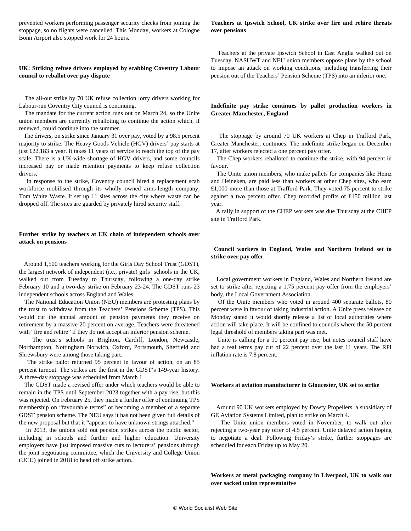prevented workers performing passenger security checks from joining the stoppage, so no flights were cancelled. This Monday, workers at Cologne Bonn Airport also stopped work for 24 hours.

# **UK: Striking refuse drivers employed by scabbing Coventry Labour council to reballot over pay dispute**

 The all-out strike by 70 UK refuse collection lorry drivers working for Labour-run Coventry City council is continuing.

 The mandate for the current action runs out on March 24, so the Unite union members are currently reballoting to continue the action which, if renewed, could continue into the summer.

 The drivers, on strike since January 31 over pay, voted by a 98.5 percent majority to strike. The Heavy Goods Vehicle (HGV) drivers' pay starts at just £22,183 a year. It takes 11 years of service to reach the top of the pay scale. There is a UK-wide shortage of HGV drivers, and some councils increased pay or made retention payments to keep refuse collection drivers.

 In response to the strike, Coventry council hired a replacement scab workforce mobilised through its wholly owned arms-length company, Tom White Waste. It set up 11 sites across the city where waste can be dropped off. The sites are guarded by privately hired security staff.

#### **Further strike by teachers at UK chain of independent schools over attack on pensions**

 Around 1,500 teachers working for the Girls Day School Trust (GDST), the largest network of independent (i.e., private) girls' schools in the UK, walked out from Tuesday to Thursday, following a one-day strike February 10 and a two-day strike on February 23-24. The GDST runs 23 independent schools across England and Wales.

 The National Education Union (NEU) members are protesting plans by the trust to withdraw from the Teachers' Pensions Scheme (TPS). This would cut the annual amount of pension payments they receive on retirement by a massive 20 percent on average. Teachers were threatened with "fire and rehire" if they do not accept an inferior pension scheme.

 The trust's schools in Brighton, Cardiff, London, Newcastle, Northampton, Nottingham Norwich, Oxford, Portsmouth, Sheffield and Shrewsbury were among those taking part.

 The strike ballot returned 95 percent in favour of action, on an 85 percent turnout. The strikes are the first in the GDST's 149-year history. A three-day stoppage was scheduled from March 1.

 The GDST made a revised offer under which teachers would be able to remain in the TPS until September 2023 together with a pay rise, but this was rejected. On February 25, they made a further offer of continuing TPS membership on "favourable terms" or becoming a member of a separate GDST pension scheme. The NEU says it has not been given full details of the new proposal but that it "appears to have unknown strings attached."

 In 2013, the unions sold out pension strikes across the public sector, including in schools and further and higher education. University employers have just imposed massive cuts to lecturers' pensions through the joint negotiating committee, which the University and College Union (UCU) joined in 2018 to head off strike action.

#### **Teachers at Ipswich School, UK strike over fire and rehire threats over pensions**

 Teachers at the private Ipswich School in East Anglia walked out on Tuesday. NASUWT and NEU union members oppose plans by the school to impose an attack on working conditions, including transferring their pension out of the Teachers' Pension Scheme (TPS) into an inferior one.

# **Indefinite pay strike continues by pallet production workers in Greater Manchester, England**

 The stoppage by around 70 UK workers at Chep in Trafford Park, Greater Manchester, continues. The indefinite strike began on December 17, after workers rejected a one percent pay offer.

 The Chep workers reballoted to continue the strike, with 94 percent in favour.

 The Unite union members, who make pallets for companies like Heinz and Heineken, are paid less than workers at other Chep sites, who earn £1,000 more than those at Trafford Park. They voted 75 percent to strike against a two percent offer. Chep recorded profits of £150 million last year.

 A rally in support of the CHEP workers was due Thursday at the CHEP site in Trafford Park.

# **Council workers in England, Wales and Northern Ireland set to strike over pay offer**

 Local government workers in England, Wales and Northern Ireland are set to strike after rejecting a 1.75 percent pay offer from the employers' body, the Local Government Association.

 Of the Unite members who voted in around 400 separate ballots, 80 percent were in favour of taking industrial action. A Unite press release on Monday stated it would shortly release a list of local authorities where action will take place. It will be confined to councils where the 50 percent legal threshold of members taking part was met.

 Unite is calling for a 10 percent pay rise, but notes council staff have had a real terms pay cut of 22 percent over the last 11 years. The RPI inflation rate is 7.8 percent.

#### **Workers at aviation manufacturer in Gloucester, UK set to strike**

 Around 90 UK workers employed by Dowty Propellers, a subsidiary of GE Aviation Systems Limited, plan to strike on March 4.

 The Unite union members voted in November, to walk out after rejecting a two-year pay offer of 4.5 percent. Unite delayed action hoping to negotiate a deal. Following Friday's strike, further stoppages are scheduled for each Friday up to May 20.

### **Workers at metal packaging company in Liverpool, UK to walk out over sacked union representative**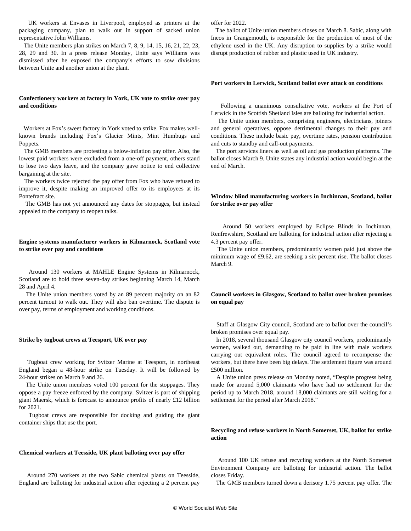UK workers at Envases in Liverpool, employed as printers at the packaging company, plan to walk out in support of sacked union representative John Williams.

 The Unite members plan strikes on March 7, 8, 9, 14, 15, 16, 21, 22, 23, 28, 29 and 30. In a press release Monday, Unite says Williams was dismissed after he exposed the company's efforts to sow divisions between Unite and another union at the plant.

#### **Confectionery workers at factory in York, UK vote to strike over pay and conditions**

 Workers at Fox's sweet factory in York voted to strike. Fox makes wellknown brands including Fox's Glacier Mints, Mint Humbugs and Poppets.

 The GMB members are protesting a below-inflation pay offer. Also, the lowest paid workers were excluded from a one-off payment, others stand to lose two days leave, and the company gave notice to end collective bargaining at the site.

 The workers twice rejected the pay offer from Fox who have refused to improve it, despite making an improved offer to its employees at its Pontefract site.

 The GMB has not yet announced any dates for stoppages, but instead appealed to the company to reopen talks.

# **Engine systems manufacturer workers in Kilmarnock, Scotland vote to strike over pay and conditions**

 Around 130 workers at MAHLE Engine Systems in Kilmarnock, Scotland are to hold three seven-day strikes beginning March 14, March 28 and April 4.

 The Unite union members voted by an 89 percent majority on an 82 percent turnout to walk out. They will also ban overtime. The dispute is over pay, terms of employment and working conditions.

#### **Strike by tugboat crews at Teesport, UK over pay**

 Tugboat crew working for Svitzer Marine at Teesport, in northeast England began a 48-hour strike on Tuesday. It will be followed by 24-hour strikes on March 9 and 26.

 The Unite union members voted 100 percent for the stoppages. They oppose a pay freeze enforced by the company. Svitzer is part of shipping giant Maersk, which is forecast to announce profits of nearly £12 billion for 2021.

 Tugboat crews are responsible for docking and guiding the giant container ships that use the port.

#### **Chemical workers at Teesside, UK plant balloting over pay offer**

 Around 270 workers at the two Sabic chemical plants on Teesside, England are balloting for industrial action after rejecting a 2 percent pay offer for 2022.

 The ballot of Unite union members closes on March 8. Sabic, along with Ineos in Grangemouth, is responsible for the production of most of the ethylene used in the UK. Any disruption to supplies by a strike would disrupt production of rubber and plastic used in UK industry.

#### **Port workers in Lerwick, Scotland ballot over attack on conditions**

 Following a unanimous consultative vote, workers at the Port of Lerwick in the Scottish Shetland Isles are balloting for industrial action.

 The Unite union members, comprising engineers, electricians, joiners and general operatives, oppose detrimental changes to their pay and conditions. These include basic pay, overtime rates, pension contribution and cuts to standby and call-out payments.

 The port services liners as well as oil and gas production platforms. The ballot closes March 9. Unite states any industrial action would begin at the end of March.

#### **Window blind manufacturing workers in Inchinnan, Scotland, ballot for strike over pay offer**

 Around 50 workers employed by Eclipse Blinds in Inchinnan, Renfrewshire, Scotland are balloting for industrial action after rejecting a 4.3 percent pay offer.

 The Unite union members, predominantly women paid just above the minimum wage of £9.62, are seeking a six percent rise. The ballot closes March 9.

# **Council workers in Glasgow, Scotland to ballot over broken promises on equal pay**

 Staff at Glasgow City council, Scotland are to ballot over the council's broken promises over equal pay.

 In 2018, several thousand Glasgow city council workers, predominantly women, walked out, demanding to be paid in line with male workers carrying out equivalent roles. The council agreed to recompense the workers, but there have been big delays. The settlement figure was around £500 million.

 A Unite union press release on Monday noted, "Despite progress being made for around 5,000 claimants who have had no settlement for the period up to March 2018, around 18,000 claimants are still waiting for a settlement for the period after March 2018."

# **Recycling and refuse workers in North Somerset, UK, ballot for strike action**

 Around 100 UK refuse and recycling workers at the North Somerset Environment Company are balloting for industrial action. The ballot closes Friday.

The GMB members turned down a derisory 1.75 percent pay offer. The